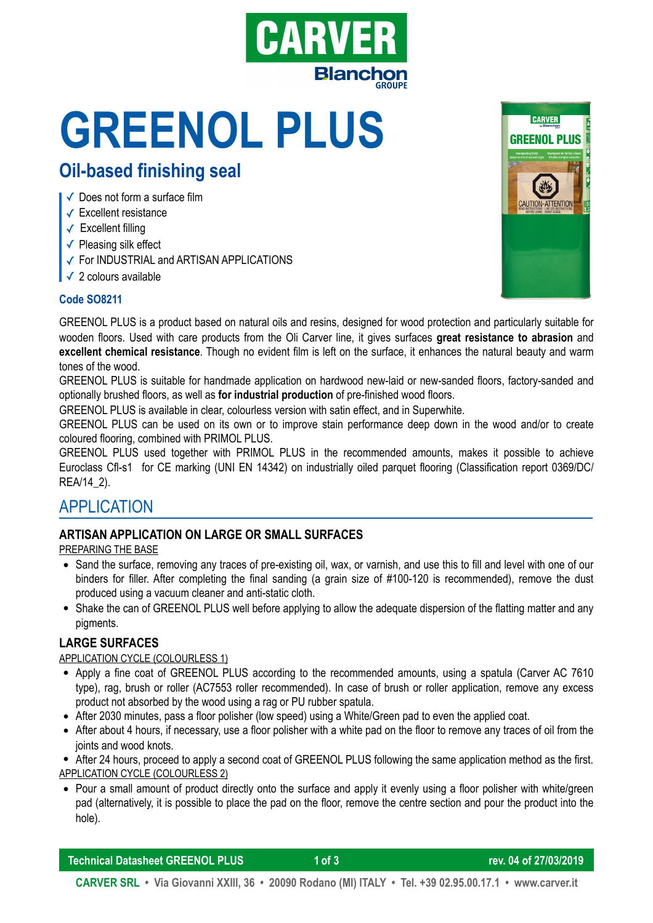

# **GREENOL PLUS Oil-based finishing seal**

- ✓ Does not form a surface film
- ✓ Excellent resistance
- ✓ Excellent filling
- ✓ Pleasing silk effect
- ✓ For INDUSTRIAL and ARTISAN APPLICATIONS
- ✓ 2 colours available





GREENOL PLUS is a product based on natural oils and resins, designed for wood protection and particularly suitable for wooden floors. Used with care products from the Oli Carver line, it gives surfaces **great resistance to abrasion** and **excellent chemical resistance**. Though no evident film is left on the surface, it enhances the natural beauty and warm tones of the wood.

GREENOL PLUS is suitable for handmade application on hardwood new-laid or new-sanded floors, factory-sanded and optionally brushed floors, as well as **for industrial production** of pre-finished wood floors.

GREENOL PLUS is available in clear, colourless version with satin effect, and in Superwhite.

GREENOL PLUS can be used on its own or to improve stain performance deep down in the wood and/or to create coloured flooring, combined with PRIMOL PLUS.

GREENOL PLUS used together with PRIMOL PLUS in the recommended amounts, makes it possible to achieve Euroclass Cfl-s1 for CE marking (UNI EN 14342) on industrially oiled parquet flooring (Classification report 0369/DC/ REA/14\_2).

# APPLICATION

### **ARTISAN APPLICATION ON LARGE OR SMALL SURFACES**

PREPARING THE BASE

- Sand the surface, removing any traces of pre-existing oil, wax, or varnish, and use this to fill and level with one of our binders for filler. After completing the final sanding (a grain size of #100-120 is recommended), remove the dust produced using a vacuum cleaner and anti-static cloth.
- Shake the can of GREENOL PLUS well before applying to allow the adequate dispersion of the flatting matter and any pigments.

#### **LARGE SURFACES**

#### APPLICATION CYCLE (COLOURLESS 1)

- Apply a fine coat of GREENOL PLUS according to the recommended amounts, using a spatula (Carver AC 7610 type), rag, brush or roller (AC7553 roller recommended). In case of brush or roller application, remove any excess product not absorbed by the wood using a rag or PU rubber spatula.
- After 2030 minutes, pass a floor polisher (low speed) using a White/Green pad to even the applied coat.
- After about 4 hours, if necessary, use a floor polisher with a white pad on the floor to remove any traces of oil from the joints and wood knots.

• After 24 hours, proceed to apply a second coat of GREENOL PLUS following the same application method as the first. APPLICATION CYCLE (COLOURLESS 2)

• Pour a small amount of product directly onto the surface and apply it evenly using a floor polisher with white/green pad (alternatively, it is possible to place the pad on the floor, remove the centre section and pour the product into the hole).

**Technical Datasheet GREENOL PLUS 1 of 3 rev. 04 of 27/03/2019 |**

**CARVER SRL • Via Giovanni XXIII, 36 • 20090 Rodano (MI) ITALY • Tel. +39 02.95.00.17.1 • www.carver.it**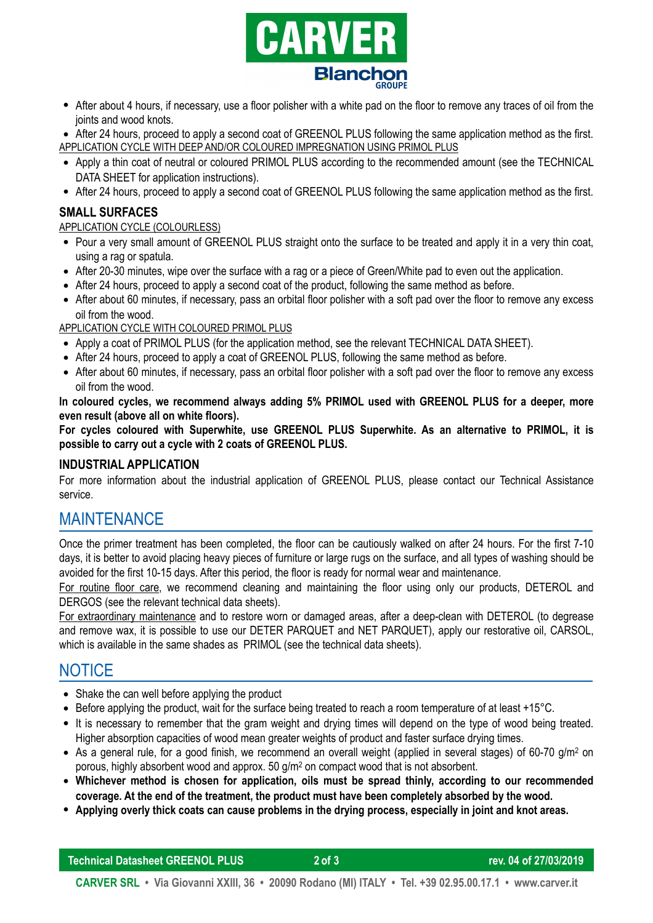

• After about 4 hours, if necessary, use a floor polisher with a white pad on the floor to remove any traces of oil from the joints and wood knots.

• After 24 hours, proceed to apply a second coat of GREENOL PLUS following the same application method as the first. APPLICATION CYCLE WITH DEEP AND/OR COLOURED IMPREGNATION USING PRIMOL PLUS

- Apply a thin coat of neutral or coloured PRIMOL PLUS according to the recommended amount (see the TECHNICAL DATA SHEET for application instructions).
- After 24 hours, proceed to apply a second coat of GREENOL PLUS following the same application method as the first.

#### **SMALL SURFACES**

#### APPLICATION CYCLE (COLOURLESS)

- Pour a very small amount of GREENOL PLUS straight onto the surface to be treated and apply it in a very thin coat, using a rag or spatula.
- After 20-30 minutes, wipe over the surface with a rag or a piece of Green/White pad to even out the application.
- After 24 hours, proceed to apply a second coat of the product, following the same method as before.
- After about 60 minutes, if necessary, pass an orbital floor polisher with a soft pad over the floor to remove any excess oil from the wood.

APPLICATION CYCLE WITH COLOURED PRIMOL PLUS

- Apply a coat of PRIMOL PLUS (for the application method, see the relevant TECHNICAL DATA SHEET).
- After 24 hours, proceed to apply a coat of GREENOL PLUS, following the same method as before.
- After about 60 minutes, if necessary, pass an orbital floor polisher with a soft pad over the floor to remove any excess oil from the wood.

**In coloured cycles, we recommend always adding 5% PRIMOL used with GREENOL PLUS for a deeper, more even result (above all on white floors).** 

**For cycles coloured with Superwhite, use GREENOL PLUS Superwhite. As an alternative to PRIMOL, it is possible to carry out a cycle with 2 coats of GREENOL PLUS.** 

#### **INDUSTRIAL APPLICATION**

For more information about the industrial application of GREENOL PLUS, please contact our Technical Assistance service.

# MAINTENANCE

Once the primer treatment has been completed, the floor can be cautiously walked on after 24 hours. For the first 7-10 days, it is better to avoid placing heavy pieces of furniture or large rugs on the surface, and all types of washing should be avoided for the first 10-15 days. After this period, the floor is ready for normal wear and maintenance.

For routine floor care, we recommend cleaning and maintaining the floor using only our products, DETEROL and DERGOS (see the relevant technical data sheets).

For extraordinary maintenance and to restore worn or damaged areas, after a deep-clean with DETEROL (to degrease and remove wax, it is possible to use our DETER PARQUET and NET PARQUET), apply our restorative oil, CARSOL, which is available in the same shades as PRIMOL (see the technical data sheets).

# **NOTICE**

- Shake the can well before applying the product
- Before applying the product, wait for the surface being treated to reach a room temperature of at least +15°C.
- It is necessary to remember that the gram weight and drying times will depend on the type of wood being treated. Higher absorption capacities of wood mean greater weights of product and faster surface drying times.
- As a general rule, for a good finish, we recommend an overall weight (applied in several stages) of 60-70 g/m<sup>2</sup> on porous, highly absorbent wood and approx. 50 g/m2 on compact wood that is not absorbent.
- **Whichever method is chosen for application, oils must be spread thinly, according to our recommended coverage. At the end of the treatment, the product must have been completely absorbed by the wood.**
- **Applying overly thick coats can cause problems in the drying process, especially in joint and knot areas.**

**Technical Datasheet GREENOL PLUS 2 of 3 rev. 04 of 27/03/2019 |**

**CARVER SRL • Via Giovanni XXIII, 36 • 20090 Rodano (MI) ITALY • Tel. +39 02.95.00.17.1 • www.carver.it**